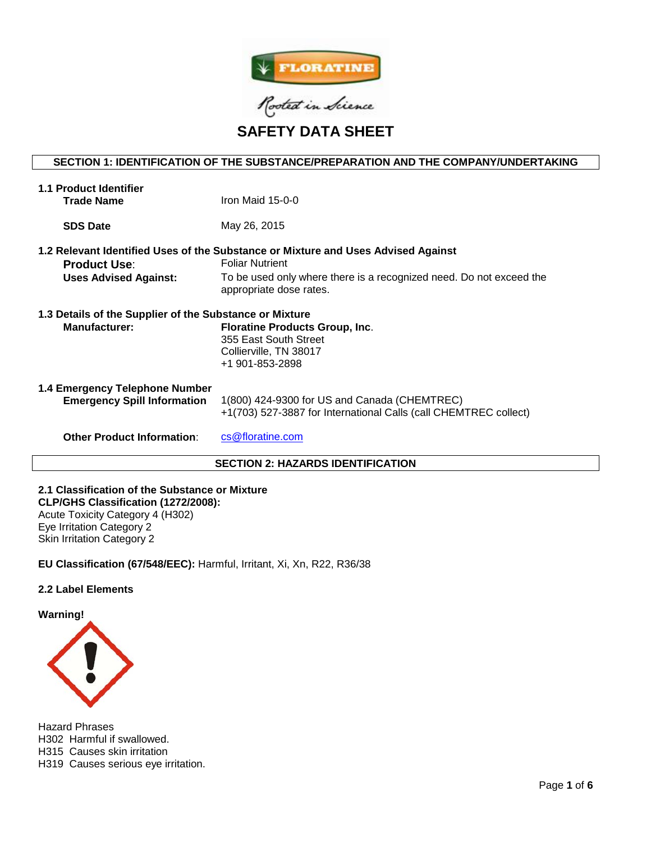

**SAFETY DATA SHEET**

# **SECTION 1: IDENTIFICATION OF THE SUBSTANCE/PREPARATION AND THE COMPANY/UNDERTAKING**

| <b>1.1 Product Identifier</b><br><b>Trade Name</b>                              | Iron Maid $15-0-0$                                                                                                                                                                                            |  |  |
|---------------------------------------------------------------------------------|---------------------------------------------------------------------------------------------------------------------------------------------------------------------------------------------------------------|--|--|
| <b>SDS Date</b>                                                                 | May 26, 2015                                                                                                                                                                                                  |  |  |
| <b>Product Use:</b><br><b>Uses Advised Against:</b>                             | 1.2 Relevant Identified Uses of the Substance or Mixture and Uses Advised Against<br><b>Foliar Nutrient</b><br>To be used only where there is a recognized need. Do not exceed the<br>appropriate dose rates. |  |  |
| 1.3 Details of the Supplier of the Substance or Mixture<br><b>Manufacturer:</b> | <b>Floratine Products Group, Inc.</b><br>355 East South Street<br>Collierville, TN 38017<br>+1 901-853-2898                                                                                                   |  |  |
| 1.4 Emergency Telephone Number<br><b>Emergency Spill Information</b>            | 1(800) 424-9300 for US and Canada (CHEMTREC)<br>+1(703) 527-3887 for International Calls (call CHEMTREC collect)                                                                                              |  |  |
| <b>Other Product Information:</b>                                               | cs@floratine.com                                                                                                                                                                                              |  |  |
| <b>SECTION 2: HAZARDS IDENTIFICATION</b>                                        |                                                                                                                                                                                                               |  |  |

**2.1 Classification of the Substance or Mixture CLP/GHS Classification (1272/2008):**  Acute Toxicity Category 4 (H302) Eye Irritation Category 2 Skin Irritation Category 2

**EU Classification (67/548/EEC):** Harmful, Irritant, Xi, Xn, R22, R36/38

## **2.2 Label Elements**

**Warning!**



Hazard Phrases H302 Harmful if swallowed. H315 Causes skin irritation H319 Causes serious eye irritation.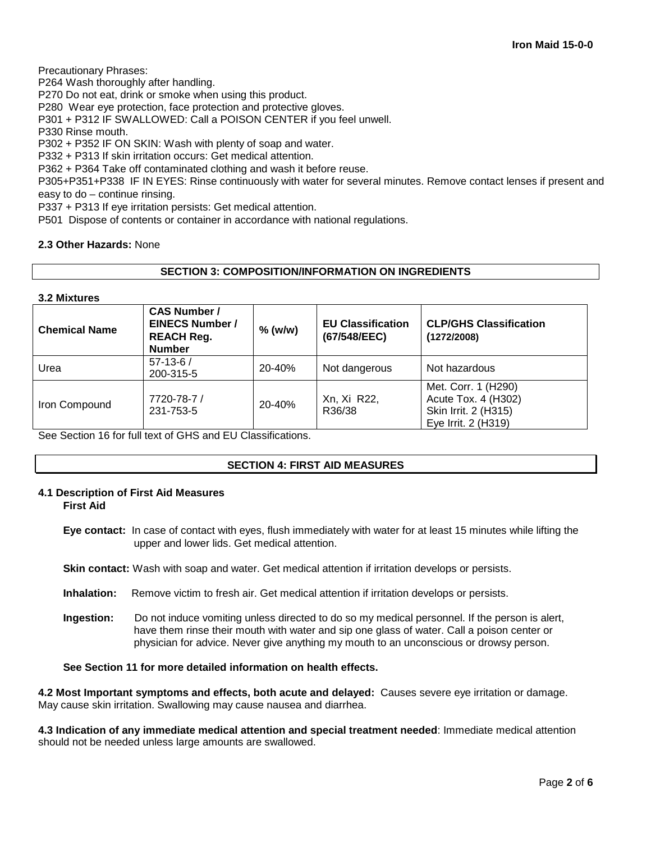Precautionary Phrases:

P264 Wash thoroughly after handling.

P270 Do not eat, drink or smoke when using this product.

P280 Wear eye protection, face protection and protective gloves.

P301 + P312 IF SWALLOWED: Call a POISON CENTER if you feel unwell.

P330 Rinse mouth.

P302 + P352 IF ON SKIN: Wash with plenty of soap and water.

P332 + P313 If skin irritation occurs: Get medical attention.

P362 + P364 Take off contaminated clothing and wash it before reuse.

P305+P351+P338 IF IN EYES: Rinse continuously with water for several minutes. Remove contact lenses if present and easy to do – continue rinsing.

P337 + P313 If eye irritation persists: Get medical attention.

P501 Dispose of contents or container in accordance with national regulations.

## **2.3 Other Hazards:** None

# **SECTION 3: COMPOSITION/INFORMATION ON INGREDIENTS**

## **3.2 Mixtures**

| <b>Chemical Name</b> | <b>CAS Number /</b><br><b>EINECS Number /</b><br><b>REACH Reg.</b><br><b>Number</b> | $%$ (w/w) | <b>EU Classification</b><br>(67/548/EEC) | <b>CLP/GHS Classification</b><br>(1272/2008)                                              |
|----------------------|-------------------------------------------------------------------------------------|-----------|------------------------------------------|-------------------------------------------------------------------------------------------|
| Urea                 | $57 - 13 - 6/$<br>200-315-5                                                         | 20-40%    | Not dangerous                            | Not hazardous                                                                             |
| Iron Compound        | 7720-78-7 /<br>231-753-5                                                            | 20-40%    | Xn, Xi R22,<br>R36/38                    | Met. Corr. 1 (H290)<br>Acute Tox. 4 (H302)<br>Skin Irrit. 2 (H315)<br>Eye Irrit. 2 (H319) |

See Section 16 for full text of GHS and EU Classifications.

## **SECTION 4: FIRST AID MEASURES**

# **4.1 Description of First Aid Measures**

**First Aid**

**Eye contact:** In case of contact with eyes, flush immediately with water for at least 15 minutes while lifting the upper and lower lids. Get medical attention.

**Skin contact:** Wash with soap and water. Get medical attention if irritation develops or persists.

- **Inhalation:** Remove victim to fresh air. Get medical attention if irritation develops or persists.
- **Ingestion:** Do not induce vomiting unless directed to do so my medical personnel. If the person is alert, have them rinse their mouth with water and sip one glass of water. Call a poison center or physician for advice. Never give anything my mouth to an unconscious or drowsy person.

# **See Section 11 for more detailed information on health effects.**

**4.2 Most Important symptoms and effects, both acute and delayed:** Causes severe eye irritation or damage. May cause skin irritation. Swallowing may cause nausea and diarrhea.

**4.3 Indication of any immediate medical attention and special treatment needed**: Immediate medical attention should not be needed unless large amounts are swallowed.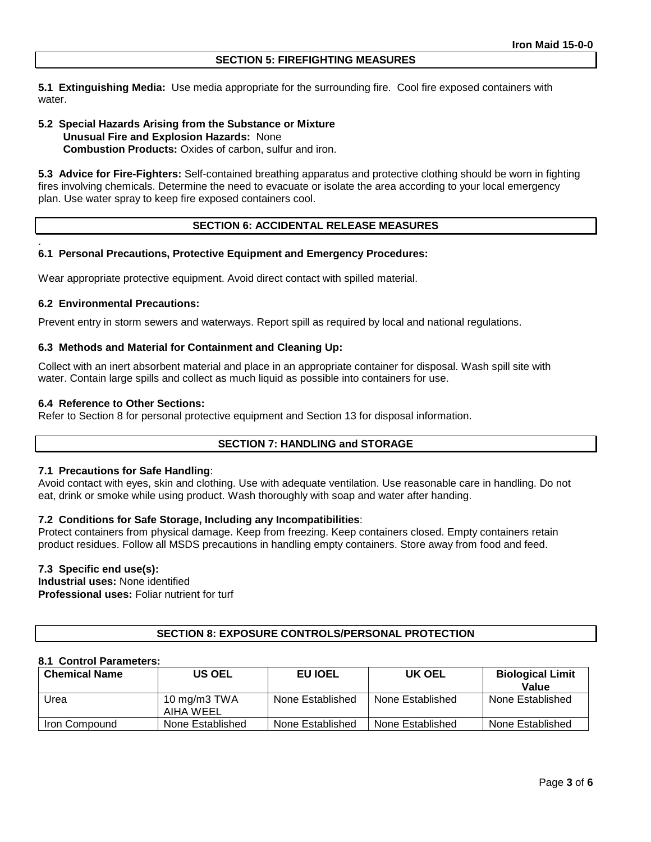**5.1 Extinguishing Media:** Use media appropriate for the surrounding fire. Cool fire exposed containers with water.

## **5.2 Special Hazards Arising from the Substance or Mixture Unusual Fire and Explosion Hazards:** None **Combustion Products:** Oxides of carbon, sulfur and iron.

**5.3 Advice for Fire-Fighters:** Self-contained breathing apparatus and protective clothing should be worn in fighting fires involving chemicals. Determine the need to evacuate or isolate the area according to your local emergency plan. Use water spray to keep fire exposed containers cool.

## **SECTION 6: ACCIDENTAL RELEASE MEASURES**

## **6.1 Personal Precautions, Protective Equipment and Emergency Procedures:**

Wear appropriate protective equipment. Avoid direct contact with spilled material.

## **6.2 Environmental Precautions:**

.

Prevent entry in storm sewers and waterways. Report spill as required by local and national regulations.

### **6.3 Methods and Material for Containment and Cleaning Up:**

Collect with an inert absorbent material and place in an appropriate container for disposal. Wash spill site with water. Contain large spills and collect as much liquid as possible into containers for use.

### **6.4 Reference to Other Sections:**

Refer to Section 8 for personal protective equipment and Section 13 for disposal information.

## **SECTION 7: HANDLING and STORAGE**

### **7.1 Precautions for Safe Handling**:

Avoid contact with eyes, skin and clothing. Use with adequate ventilation. Use reasonable care in handling. Do not eat, drink or smoke while using product. Wash thoroughly with soap and water after handing.

## **7.2 Conditions for Safe Storage, Including any Incompatibilities**:

Protect containers from physical damage. Keep from freezing. Keep containers closed. Empty containers retain product residues. Follow all MSDS precautions in handling empty containers. Store away from food and feed.

# **7.3 Specific end use(s):**

**Industrial uses:** None identified **Professional uses:** Foliar nutrient for turf

## **SECTION 8: EXPOSURE CONTROLS/PERSONAL PROTECTION**

## **8.1 Control Parameters:**

| <b>Chemical Name</b> | <b>US OEL</b>             | EU IOEL          | UK OEL           | <b>Biological Limit</b><br>Value |
|----------------------|---------------------------|------------------|------------------|----------------------------------|
| Urea                 | 10 mg/m3 TWA<br>AIHA WEEL | None Established | None Established | None Established                 |
| Iron Compound        | None Established          | None Established | None Established | None Established                 |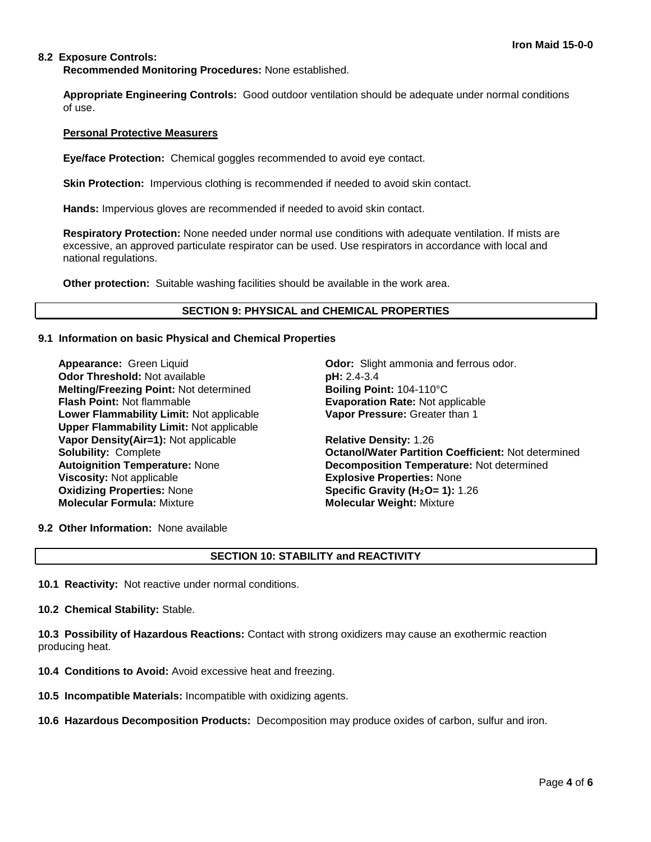## **8.2 Exposure Controls:**

**Recommended Monitoring Procedures:** None established.

**Appropriate Engineering Controls:** Good outdoor ventilation should be adequate under normal conditions of use.

### **Personal Protective Measurers**

**Eye/face Protection:** Chemical goggles recommended to avoid eye contact.

**Skin Protection:** Impervious clothing is recommended if needed to avoid skin contact.

**Hands:** Impervious gloves are recommended if needed to avoid skin contact.

**Respiratory Protection:** None needed under normal use conditions with adequate ventilation. If mists are excessive, an approved particulate respirator can be used. Use respirators in accordance with local and national regulations.

**Other protection:** Suitable washing facilities should be available in the work area.

### **SECTION 9: PHYSICAL and CHEMICAL PROPERTIES**

### **9.1 Information on basic Physical and Chemical Properties**

**Odor Threshold:** Not available **pH: 2.4-3.4 Melting/Freezing Point:** Not determined **Boiling Point:** 104-110°C **Flash Point:** Not flammable **Evaporation Rate:** Not applicable **Lower Flammability Limit:** Not applicable **Upper Flammability Limit:** Not applicable **Vapor Density(Air=1):** Not applicable **Relative Density:** 1.26 **Viscosity:** Not applicable **Explosive Properties:** None<br> **Oxidizing Properties:** None **Explosive Constants Specific Gravity (H<sub>2</sub>O= 1):** 1 **Oxidizing Properties: None <b>Specific Gravity (H<sub>2</sub>O= 1):** 1.26<br> **Molecular Formula:** Mixture **State of Molecular Weight:** Mixture

**Appearance:** Green Liquid **Odor:** Slight ammonia and ferrous odor. **Vapor Pressure:** Greater than 1

**Solubility:** Complete **Octanol/Water Partition Coefficient:** Not determined **Autoignition Temperature:** None **Decomposition Temperature:** Not determined **Molecular Formula:** Mixture **Molecular Weight:** Mixture

**9.2 Other Information:** None available

# **SECTION 10: STABILITY and REACTIVITY**

**10.1 Reactivity:** Not reactive under normal conditions.

**10.2 Chemical Stability:** Stable.

**10.3 Possibility of Hazardous Reactions:** Contact with strong oxidizers may cause an exothermic reaction producing heat.

- **10.4 Conditions to Avoid:** Avoid excessive heat and freezing.
- **10.5 Incompatible Materials:** Incompatible with oxidizing agents.
- **10.6 Hazardous Decomposition Products:** Decomposition may produce oxides of carbon, sulfur and iron.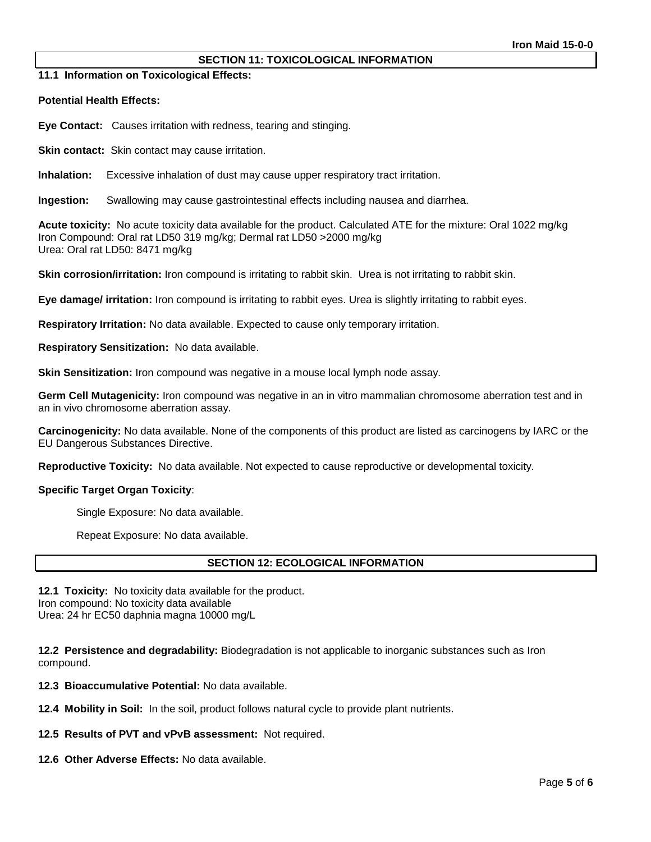## **SECTION 11: TOXICOLOGICAL INFORMATION**

**11.1 Information on Toxicological Effects:** 

**Potential Health Effects:**

**Eye Contact:** Causes irritation with redness, tearing and stinging.

**Skin contact:** Skin contact may cause irritation.

**Inhalation:** Excessive inhalation of dust may cause upper respiratory tract irritation.

**Ingestion:** Swallowing may cause gastrointestinal effects including nausea and diarrhea.

**Acute toxicity:** No acute toxicity data available for the product. Calculated ATE for the mixture: Oral 1022 mg/kg Iron Compound: Oral rat LD50 319 mg/kg; Dermal rat LD50 >2000 mg/kg Urea: Oral rat LD50: 8471 mg/kg

**Skin corrosion/irritation:** Iron compound is irritating to rabbit skin. Urea is not irritating to rabbit skin.

**Eye damage/ irritation:** Iron compound is irritating to rabbit eyes. Urea is slightly irritating to rabbit eyes.

**Respiratory Irritation:** No data available. Expected to cause only temporary irritation.

**Respiratory Sensitization:** No data available.

**Skin Sensitization:** Iron compound was negative in a mouse local lymph node assay.

**Germ Cell Mutagenicity:** Iron compound was negative in an in vitro mammalian chromosome aberration test and in an in vivo chromosome aberration assay.

**Carcinogenicity:** No data available. None of the components of this product are listed as carcinogens by IARC or the EU Dangerous Substances Directive.

**Reproductive Toxicity:** No data available. Not expected to cause reproductive or developmental toxicity.

### **Specific Target Organ Toxicity**:

Single Exposure: No data available.

Repeat Exposure: No data available.

## **SECTION 12: ECOLOGICAL INFORMATION**

**12.1 Toxicity:** No toxicity data available for the product. Iron compound: No toxicity data available Urea: 24 hr EC50 daphnia magna 10000 mg/L

**12.2 Persistence and degradability:** Biodegradation is not applicable to inorganic substances such as Iron compound.

**12.3 Bioaccumulative Potential:** No data available.

**12.4 Mobility in Soil:** In the soil, product follows natural cycle to provide plant nutrients.

**12.5 Results of PVT and vPvB assessment:** Not required.

**12.6 Other Adverse Effects:** No data available.